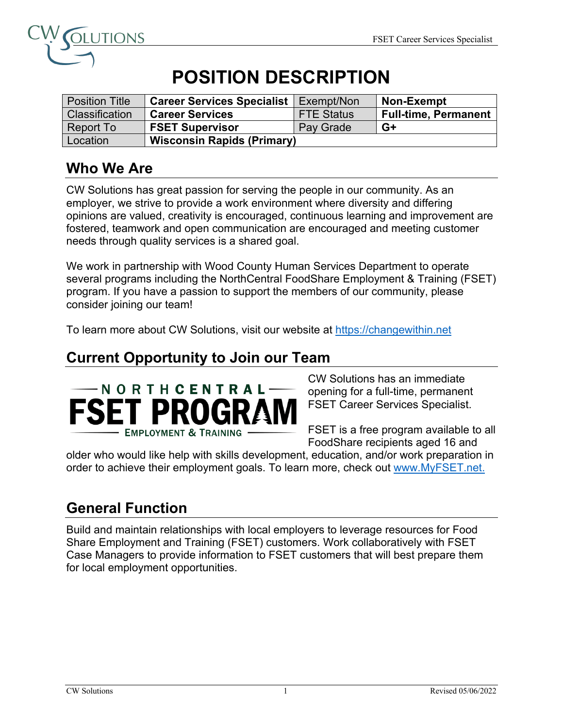

# **POSITION DESCRIPTION**

| <b>Position Title</b> | <b>Career Services Specialist</b> | Exempt/Non        | <b>Non-Exempt</b>           |
|-----------------------|-----------------------------------|-------------------|-----------------------------|
| Classification        | <b>Career Services</b>            | <b>FTE Status</b> | <b>Full-time, Permanent</b> |
| Report To             | <b>FSET Supervisor</b>            | Pay Grade         | G+                          |
| Location              | <b>Wisconsin Rapids (Primary)</b> |                   |                             |

#### **Who We Are**

CW Solutions has great passion for serving the people in our community. As an employer, we strive to provide a work environment where diversity and differing opinions are valued, creativity is encouraged, continuous learning and improvement are fostered, teamwork and open communication are encouraged and meeting customer needs through quality services is a shared goal.

We work in partnership with Wood County Human Services Department to operate several programs including the NorthCentral FoodShare Employment & Training (FSET) program. If you have a passion to support the members of our community, please consider joining our team!

To learn more about CW Solutions, visit our website at https://changewithin.net

#### **Current Opportunity to Join our Team**



CW Solutions has an immediate opening for a full-time, permanent FSET Career Services Specialist.

FSET is a free program available to all FoodShare recipients aged 16 and

older who would like help with skills development, education, and/or work preparation in order to achieve their employment goals. To learn more, check out www.MyFSET.net.

### **General Function**

Build and maintain relationships with local employers to leverage resources for Food Share Employment and Training (FSET) customers. Work collaboratively with FSET Case Managers to provide information to FSET customers that will best prepare them for local employment opportunities.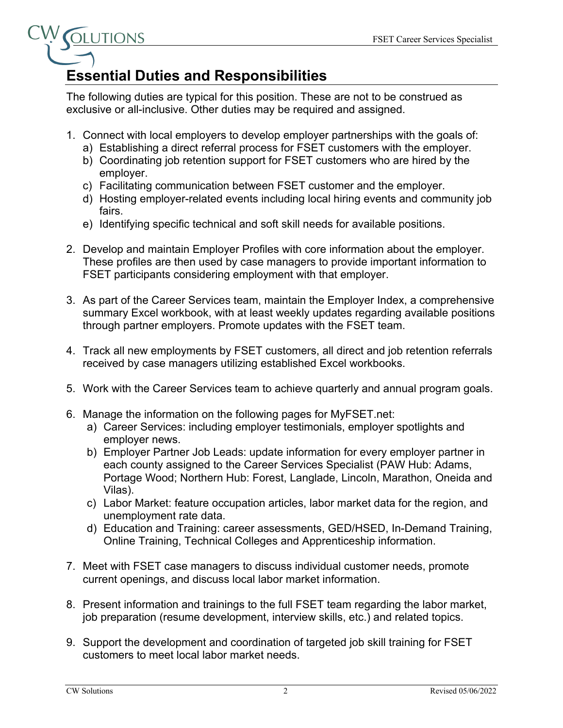

## **Essential Duties and Responsibilities**

The following duties are typical for this position. These are not to be construed as exclusive or all-inclusive. Other duties may be required and assigned.

- 1. Connect with local employers to develop employer partnerships with the goals of:
	- a) Establishing a direct referral process for FSET customers with the employer.
	- b) Coordinating job retention support for FSET customers who are hired by the employer.
	- c) Facilitating communication between FSET customer and the employer.
	- d) Hosting employer-related events including local hiring events and community job fairs.
	- e) Identifying specific technical and soft skill needs for available positions.
- 2. Develop and maintain Employer Profiles with core information about the employer. These profiles are then used by case managers to provide important information to FSET participants considering employment with that employer.
- 3. As part of the Career Services team, maintain the Employer Index, a comprehensive summary Excel workbook, with at least weekly updates regarding available positions through partner employers. Promote updates with the FSET team.
- 4. Track all new employments by FSET customers, all direct and job retention referrals received by case managers utilizing established Excel workbooks.
- 5. Work with the Career Services team to achieve quarterly and annual program goals.
- 6. Manage the information on the following pages for MyFSET.net:
	- a) Career Services: including employer testimonials, employer spotlights and employer news.
	- b) Employer Partner Job Leads: update information for every employer partner in each county assigned to the Career Services Specialist (PAW Hub: Adams, Portage Wood; Northern Hub: Forest, Langlade, Lincoln, Marathon, Oneida and Vilas).
	- c) Labor Market: feature occupation articles, labor market data for the region, and unemployment rate data.
	- d) Education and Training: career assessments, GED/HSED, In-Demand Training, Online Training, Technical Colleges and Apprenticeship information.
- 7. Meet with FSET case managers to discuss individual customer needs, promote current openings, and discuss local labor market information.
- 8. Present information and trainings to the full FSET team regarding the labor market, job preparation (resume development, interview skills, etc.) and related topics.
- 9. Support the development and coordination of targeted job skill training for FSET customers to meet local labor market needs.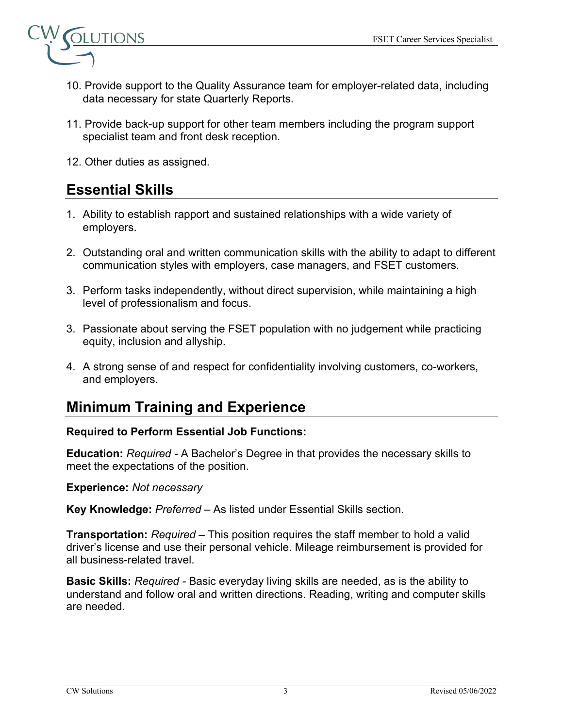

- 10. Provide support to the Quality Assurance team for employer-related data, including data necessary for state Quarterly Reports.
- 11. Provide back-up support for other team members including the program support specialist team and front desk reception.
- 12. Other duties as assigned.

#### **Essential Skills**

- 1. Ability to establish rapport and sustained relationships with a wide variety of employers.
- 2. Outstanding oral and written communication skills with the ability to adapt to different communication styles with employers, case managers, and FSET customers.
- 3. Perform tasks independently, without direct supervision, while maintaining a high level of professionalism and focus.
- 3. Passionate about serving the FSET population with no judgement while practicing equity, inclusion and allyship.
- 4. A strong sense of and respect for confidentiality involving customers, co-workers, and employers.

#### **Minimum Training and Experience**

#### **Required to Perform Essential Job Functions:**

**Education:** *Required -* A Bachelor's Degree in that provides the necessary skills to meet the expectations of the position.

**Experience:** *Not necessary*

**Key Knowledge:** *Preferred* – As listed under Essential Skills section.

**Transportation:** *Required –* This position requires the staff member to hold a valid driver's license and use their personal vehicle. Mileage reimbursement is provided for all business-related travel.

**Basic Skills:** *Required -* Basic everyday living skills are needed, as is the ability to understand and follow oral and written directions. Reading, writing and computer skills are needed.